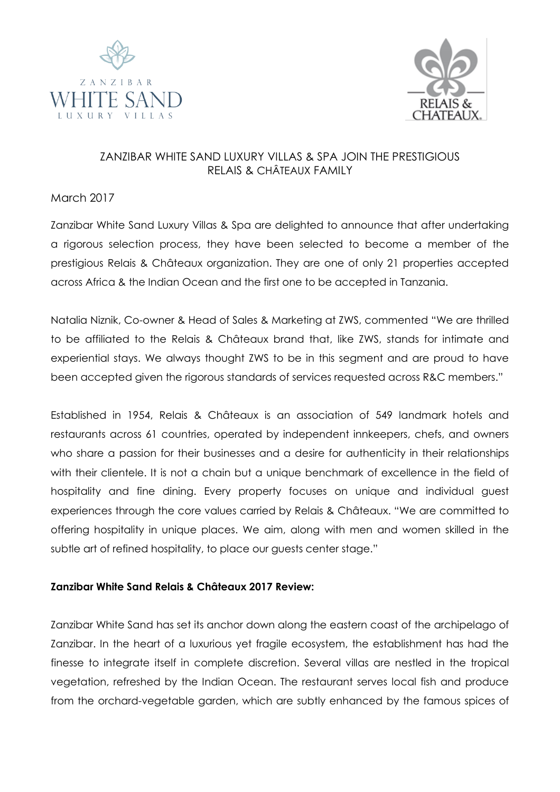



## ZANZIBAR WHITE SAND LUXURY VILLAS & SPA JOIN THE PRESTIGIOUS RELAIS & CHÂTEAUX FAMILY

## March 2017

Zanzibar White Sand Luxury Villas & Spa are delighted to announce that after undertaking a rigorous selection process, they have been selected to become a member of the prestigious Relais & Châteaux organization. They are one of only 21 properties accepted across Africa & the Indian Ocean and the first one to be accepted in Tanzania.

Natalia Niznik, Co-owner & Head of Sales & Marketing at ZWS, commented "We are thrilled to be affiliated to the Relais & Châteaux brand that, like ZWS, stands for intimate and experiential stays. We always thought ZWS to be in this segment and are proud to have been accepted given the rigorous standards of services requested across R&C members."

Established in 1954, Relais & Châteaux is an association of 549 landmark hotels and restaurants across 61 countries, operated by independent innkeepers, chefs, and owners who share a passion for their businesses and a desire for authenticity in their relationships with their clientele. It is not a chain but a unique benchmark of excellence in the field of hospitality and fine dining. Every property focuses on unique and individual guest experiences through the core values carried by Relais & Châteaux. "We are committed to offering hospitality in unique places. We aim, along with men and women skilled in the subtle art of refined hospitality, to place our guests center stage."

## **Zanzibar White Sand Relais & Châteaux 2017 Review:**

Zanzibar White Sand has set its anchor down along the eastern coast of the archipelago of Zanzibar. In the heart of a luxurious yet fragile ecosystem, the establishment has had the finesse to integrate itself in complete discretion. Several villas are nestled in the tropical vegetation, refreshed by the Indian Ocean. The restaurant serves local fish and produce from the orchard-vegetable garden, which are subtly enhanced by the famous spices of